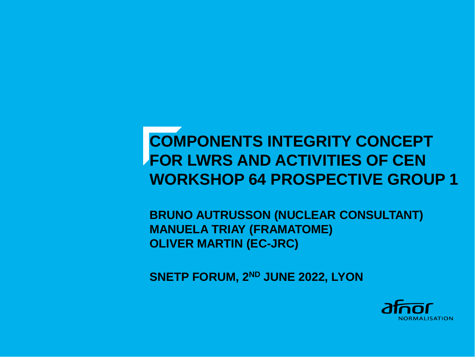# **COMPONENTS INTEGRITY CONCEPT FOR LWRS AND ACTIVITIES OF CEN WORKSHOP 64 PROSPECTIVE GROUP 1**

**BRUNO AUTRUSSON (NUCLEAR CONSULTANT) MANUELA TRIAY (FRAMATOME) OLIVER MARTIN (EC-JRC)**

**SNETP FORUM, 2ND JUNE 2022, LYON**

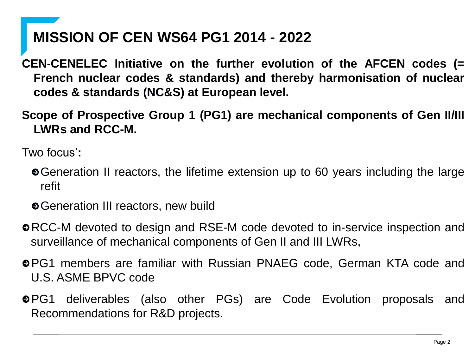## **MISSION OF CEN WS64 PG1 2014 - 2022**

**CEN-CENELEC Initiative on the further evolution of the AFCEN codes (= French nuclear codes & standards) and thereby harmonisation of nuclear codes & standards (NC&S) at European level.**

**Scope of Prospective Group 1 (PG1) are mechanical components of Gen II/III LWRs and RCC-M.**

Two focus'**:**

- Generation II reactors, the lifetime extension up to 60 years including the large refit
- Generation III reactors, new build
- RCC-M devoted to design and RSE-M code devoted to in-service inspection and surveillance of mechanical components of Gen II and III LWRs,
- PG1 members are familiar with Russian PNAEG code, German KTA code and U.S. ASME BPVC code
- PG1 deliverables (also other PGs) are Code Evolution proposals and Recommendations for R&D projects.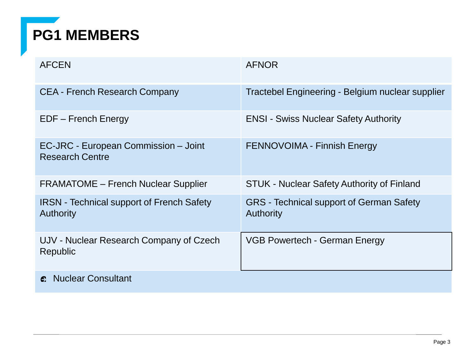# **PG1 MEMBERS**

| <b>AFCEN</b>                                                         | <b>AFNOR</b>                                                        |
|----------------------------------------------------------------------|---------------------------------------------------------------------|
| <b>CEA - French Research Company</b>                                 | Tractebel Engineering - Belgium nuclear supplier                    |
| EDF – French Energy                                                  | <b>ENSI - Swiss Nuclear Safety Authority</b>                        |
| EC-JRC - European Commission - Joint<br><b>Research Centre</b>       | <b>FENNOVOIMA - Finnish Energy</b>                                  |
| <b>FRAMATOME – French Nuclear Supplier</b>                           | <b>STUK - Nuclear Safety Authority of Finland</b>                   |
| <b>IRSN</b> - Technical support of French Safety<br><b>Authority</b> | <b>GRS</b> - Technical support of German Safety<br><b>Authority</b> |
| UJV - Nuclear Research Company of Czech<br>Republic                  | VGB Powertech - German Energy                                       |
| <b>Nuclear Consultant</b><br>e.                                      |                                                                     |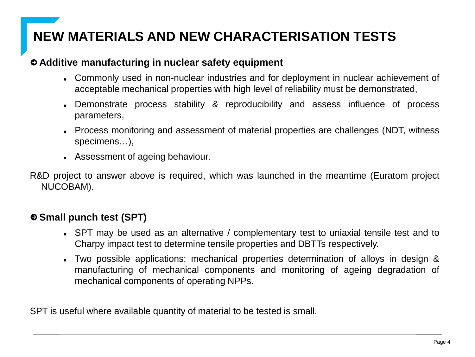## **NEW MATERIALS AND NEW CHARACTERISATION TESTS**

#### **Additive manufacturing in nuclear safety equipment**

- Commonly used in non-nuclear industries and for deployment in nuclear achievement of acceptable mechanical properties with high level of reliability must be demonstrated,
- ⚫ Demonstrate process stability & reproducibility and assess influence of process parameters,
- Process monitoring and assessment of material properties are challenges (NDT, witness specimens…),
- ⚫ Assessment of ageing behaviour.

R&D project to answer above is required, which was launched in the meantime (Euratom project NUCOBAM).

### **Small punch test (SPT)**

- SPT may be used as an alternative / complementary test to uniaxial tensile test and to Charpy impact test to determine tensile properties and DBTTs respectively.
- Two possible applications: mechanical properties determination of alloys in design & manufacturing of mechanical components and monitoring of ageing degradation of mechanical components of operating NPPs.

SPT is useful where available quantity of material to be tested is small.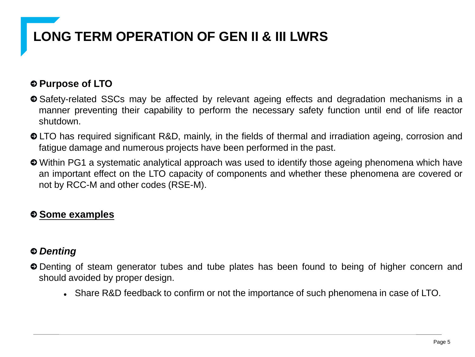## **LONG TERM OPERATION OF GEN II & III LWRS**

## **Purpose of LTO**

- Safety-related SSCs may be affected by relevant ageing effects and degradation mechanisms in a manner preventing their capability to perform the necessary safety function until end of life reactor shutdown.
- LTO has required significant R&D, mainly, in the fields of thermal and irradiation ageing, corrosion and fatigue damage and numerous projects have been performed in the past.
- Within PG1 a systematic analytical approach was used to identify those ageing phenomena which have an important effect on the LTO capacity of components and whether these phenomena are covered or not by RCC-M and other codes (RSE-M).

## **Some examples**

### *Denting*

- Denting of steam generator tubes and tube plates has been found to being of higher concern and should avoided by proper design.
	- Share R&D feedback to confirm or not the importance of such phenomena in case of LTO.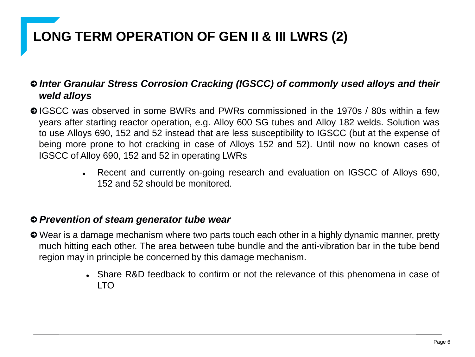## **LONG TERM OPERATION OF GEN II & III LWRS (2)**

### *Inter Granular Stress Corrosion Cracking (IGSCC) of commonly used alloys and their weld alloys*

IGSCC was observed in some BWRs and PWRs commissioned in the 1970s / 80s within a few years after starting reactor operation, e.g. Alloy 600 SG tubes and Alloy 182 welds. Solution was to use Alloys 690, 152 and 52 instead that are less susceptibility to IGSCC (but at the expense of being more prone to hot cracking in case of Alloys 152 and 52). Until now no known cases of IGSCC of Alloy 690, 152 and 52 in operating LWRs

> • Recent and currently on-going research and evaluation on IGSCC of Alloys 690, 152 and 52 should be monitored.

#### *Prevention of steam generator tube wear*

- Wear is a damage mechanism where two parts touch each other in a highly dynamic manner, pretty much hitting each other. The area between tube bundle and the anti-vibration bar in the tube bend region may in principle be concerned by this damage mechanism.
	- Share R&D feedback to confirm or not the relevance of this phenomena in case of LTO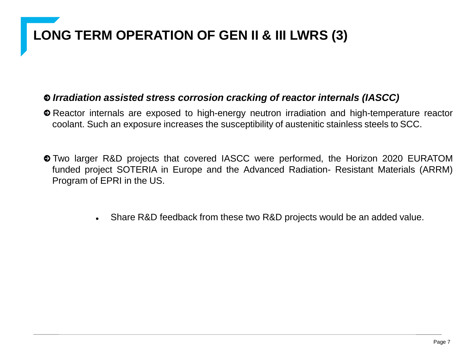## **LONG TERM OPERATION OF GEN II & III LWRS (3)**

#### *Irradiation assisted stress corrosion cracking of reactor internals (IASCC)*

- Reactor internals are exposed to high-energy neutron irradiation and high-temperature reactor coolant. Such an exposure increases the susceptibility of austenitic stainless steels to SCC.
- Two larger R&D projects that covered IASCC were performed, the Horizon 2020 EURATOM funded project SOTERIA in Europe and the Advanced Radiation- Resistant Materials (ARRM) Program of EPRI in the US.
	- Share R&D feedback from these two R&D projects would be an added value.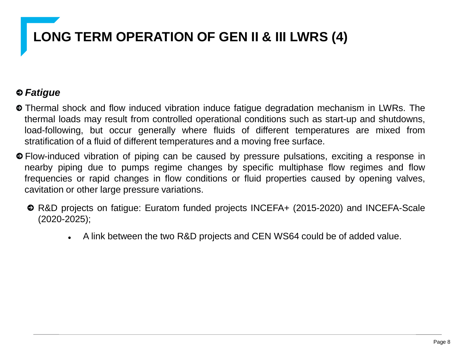# **LONG TERM OPERATION OF GEN II & III LWRS (4)**

## *Fatigue*

- Thermal shock and flow induced vibration induce fatigue degradation mechanism in LWRs. The thermal loads may result from controlled operational conditions such as start-up and shutdowns, load-following, but occur generally where fluids of different temperatures are mixed from stratification of a fluid of different temperatures and a moving free surface.
- Flow-induced vibration of piping can be caused by pressure pulsations, exciting a response in nearby piping due to pumps regime changes by specific multiphase flow regimes and flow frequencies or rapid changes in flow conditions or fluid properties caused by opening valves, cavitation or other large pressure variations.
	- R&D projects on fatigue: Euratom funded projects INCEFA+ (2015-2020) and INCEFA-Scale (2020-2025);
		- A link between the two R&D projects and CEN WS64 could be of added value.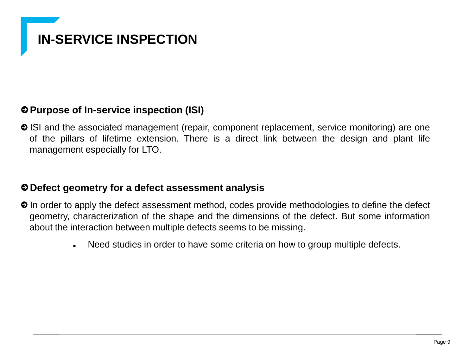## **IN-SERVICE INSPECTION**

### **Purpose of In-service inspection (ISI)**

• ISI and the associated management (repair, component replacement, service monitoring) are one of the pillars of lifetime extension. There is a direct link between the design and plant life management especially for LTO.

#### **Defect geometry for a defect assessment analysis**

- $\odot$  In order to apply the defect assessment method, codes provide methodologies to define the defect geometry, characterization of the shape and the dimensions of the defect. But some information about the interaction between multiple defects seems to be missing.
	- Need studies in order to have some criteria on how to group multiple defects.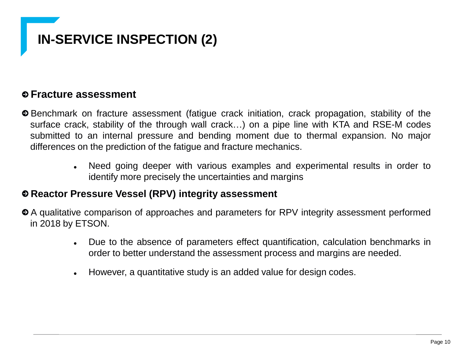# **IN-SERVICE INSPECTION (2)**

### **Fracture assessment**

- Benchmark on fracture assessment (fatigue crack initiation, crack propagation, stability of the surface crack, stability of the through wall crack…) on a pipe line with KTA and RSE-M codes submitted to an internal pressure and bending moment due to thermal expansion. No major differences on the prediction of the fatigue and fracture mechanics.
	- Need going deeper with various examples and experimental results in order to identify more precisely the uncertainties and margins

#### **Reactor Pressure Vessel (RPV) integrity assessment**

- A qualitative comparison of approaches and parameters for RPV integrity assessment performed in 2018 by ETSON.
	- ⚫ Due to the absence of parameters effect quantification, calculation benchmarks in order to better understand the assessment process and margins are needed.
	- ⚫ However, a quantitative study is an added value for design codes.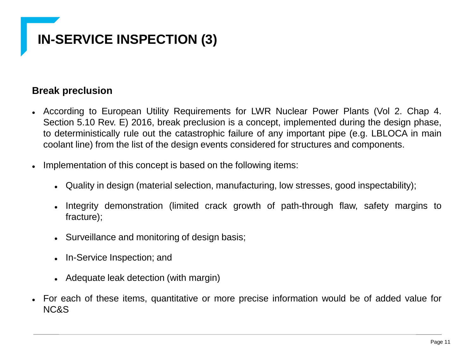## **IN-SERVICE INSPECTION (3)**

### **Break preclusion**

- ⚫ According to European Utility Requirements for LWR Nuclear Power Plants (Vol 2. Chap 4. Section 5.10 Rev. E) 2016, break preclusion is a concept, implemented during the design phase, to deterministically rule out the catastrophic failure of any important pipe (e.g. LBLOCA in main coolant line) from the list of the design events considered for structures and components.
- Implementation of this concept is based on the following items:
	- ⚫ Quality in design (material selection, manufacturing, low stresses, good inspectability);
	- Integrity demonstration (limited crack growth of path-through flaw, safety margins to fracture);
	- Surveillance and monitoring of design basis;
	- ⚫ In-Service Inspection; and
	- Adequate leak detection (with margin)
- ⚫ For each of these items, quantitative or more precise information would be of added value for NC&S